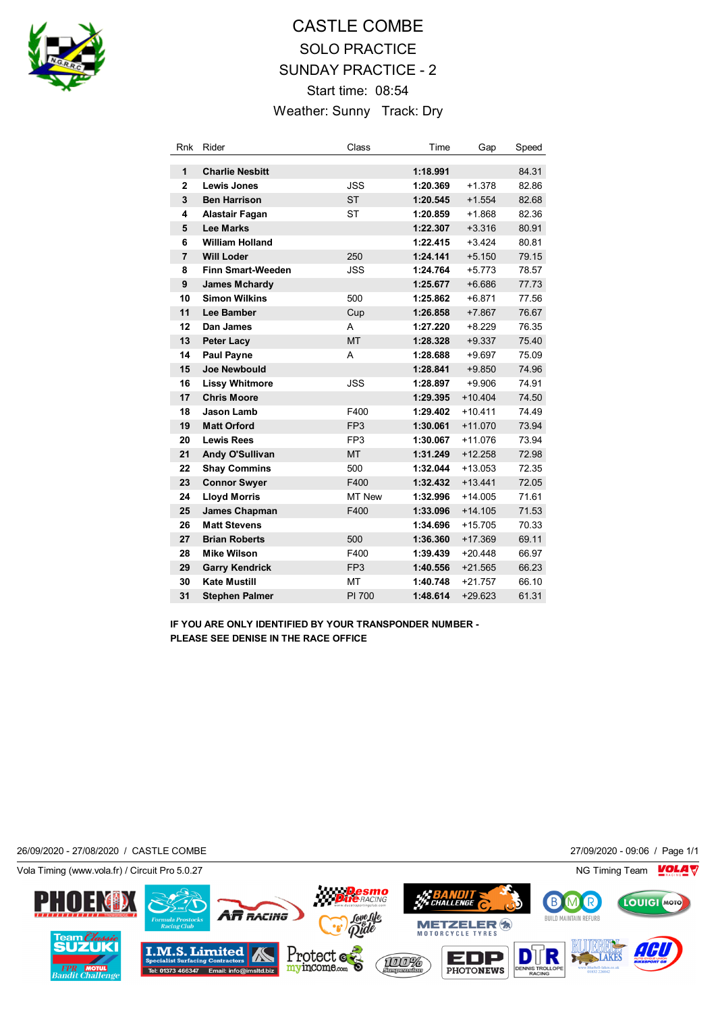

## CASTLE COMBE SOLO PRACTICE SUNDAY PRACTICE - 2 Start time: 08:54 Weather: Sunny Track: Dry

| Rnk            | Rider                    | Class           | Time     | Gap       | Speed |
|----------------|--------------------------|-----------------|----------|-----------|-------|
| 1              | <b>Charlie Nesbitt</b>   |                 | 1:18.991 |           | 84.31 |
| $\mathbf{2}$   | Lewis Jones              | <b>JSS</b>      | 1:20.369 | $+1.378$  | 82.86 |
| 3              | <b>Ben Harrison</b>      | <b>ST</b>       | 1:20.545 | $+1.554$  | 82.68 |
| 4              | <b>Alastair Fagan</b>    | <b>ST</b>       | 1:20.859 | $+1.868$  | 82.36 |
| 5              | <b>Lee Marks</b>         |                 | 1:22.307 | $+3.316$  | 80.91 |
| 6              | <b>William Holland</b>   |                 | 1:22.415 | $+3.424$  | 80.81 |
| $\overline{7}$ | <b>Will Loder</b>        | 250             | 1:24.141 | $+5.150$  | 79.15 |
| 8              | <b>Finn Smart-Weeden</b> | <b>JSS</b>      | 1:24.764 | $+5.773$  | 78.57 |
| 9              | <b>James Mchardy</b>     |                 | 1:25.677 | $+6.686$  | 77.73 |
| 10             | <b>Simon Wilkins</b>     | 500             | 1:25.862 | $+6.871$  | 77.56 |
| 11             | Lee Bamber               | Cup             | 1:26.858 | $+7.867$  | 76.67 |
| 12             | Dan James                | A               | 1:27.220 | $+8.229$  | 76.35 |
| 13             | <b>Peter Lacy</b>        | <b>MT</b>       | 1:28.328 | $+9.337$  | 75.40 |
| 14             | <b>Paul Payne</b>        | A               | 1:28.688 | $+9.697$  | 75.09 |
| 15             | <b>Joe Newbould</b>      |                 | 1:28.841 | $+9.850$  | 74.96 |
| 16             | <b>Lissy Whitmore</b>    | <b>JSS</b>      | 1:28.897 | $+9.906$  | 74.91 |
| 17             | <b>Chris Moore</b>       |                 | 1:29.395 | $+10.404$ | 74.50 |
| 18             | Jason Lamb               | F400            | 1:29.402 | $+10.411$ | 74.49 |
| 19             | <b>Matt Orford</b>       | FP <sub>3</sub> | 1:30.061 | $+11.070$ | 73.94 |
| 20             | <b>Lewis Rees</b>        | FP <sub>3</sub> | 1:30.067 | $+11.076$ | 73.94 |
| 21             | Andy O'Sullivan          | <b>MT</b>       | 1:31.249 | $+12.258$ | 72.98 |
| 22             | <b>Shay Commins</b>      | 500             | 1:32.044 | $+13.053$ | 72.35 |
| 23             | <b>Connor Swyer</b>      | F400            | 1:32.432 | $+13.441$ | 72.05 |
| 24             | <b>Lloyd Morris</b>      | <b>MT New</b>   | 1:32.996 | $+14.005$ | 71.61 |
| 25             | James Chapman            | F400            | 1:33.096 | $+14.105$ | 71.53 |
| 26             | <b>Matt Stevens</b>      |                 | 1:34.696 | $+15.705$ | 70.33 |
| 27             | <b>Brian Roberts</b>     | 500             | 1:36.360 | $+17.369$ | 69.11 |
| 28             | <b>Mike Wilson</b>       | F400            | 1:39.439 | $+20.448$ | 66.97 |
| 29             | <b>Garry Kendrick</b>    | FP <sub>3</sub> | 1:40.556 | $+21.565$ | 66.23 |
| 30             | <b>Kate Mustill</b>      | MT              | 1:40.748 | $+21.757$ | 66.10 |
| 31             | <b>Stephen Palmer</b>    | PI 700          | 1:48.614 | $+29.623$ | 61.31 |

**IF YOU ARE ONLY IDENTIFIED BY YOUR TRANSPONDER NUMBER - PLEASE SEE DENISE IN THE RACE OFFICE**

26/09/2020 - 27/08/2020 / CASTLE COMBE 27/09/2020 - 09:06 / Page 1/1

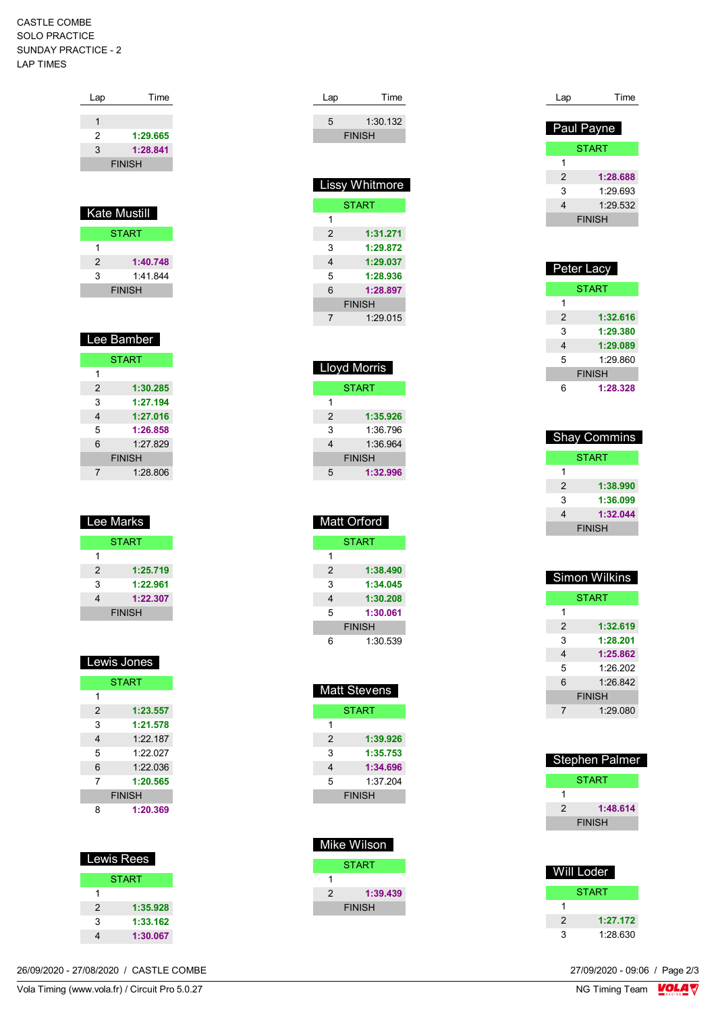## CASTLE COMBE SOLO PRACTICE SUNDAY PRACTICE - 2 LAP TIMES

| Lap | Time                |
|-----|---------------------|
|     |                     |
| 1   |                     |
| 2   | 1:29.665            |
| 3   | 1:28.841            |
|     | <b>FINISH</b>       |
|     |                     |
|     |                     |
|     | <b>Kate Mustill</b> |
|     | <b>START</b>        |

| 2 | 1:40.748      |
|---|---------------|
| 3 | 1.41844       |
|   | <b>FINISH</b> |

| Lee Bamber    |  |  |  |  |
|---------------|--|--|--|--|
| <b>START</b>  |  |  |  |  |
|               |  |  |  |  |
| 1:30.285      |  |  |  |  |
| 1:27.194      |  |  |  |  |
| 1:27.016      |  |  |  |  |
| 1:26.858      |  |  |  |  |
| 1:27.829      |  |  |  |  |
| <b>FINISH</b> |  |  |  |  |
| 1:28.806      |  |  |  |  |
|               |  |  |  |  |

| <b>Lee Marks</b> |               |
|------------------|---------------|
|                  | <b>START</b>  |
| 1                |               |
| 2                | 1:25.719      |
| 3                | 1:22.961      |
| 4                | 1:22.307      |
|                  | <b>FINISH</b> |

| Lewis Jones |               |  |  |  |
|-------------|---------------|--|--|--|
|             | <b>START</b>  |  |  |  |
| 1           |               |  |  |  |
| 2           | 1:23.557      |  |  |  |
| 3           | 1:21.578      |  |  |  |
| 4           | 1.22187       |  |  |  |
| 5           | 1.22 027      |  |  |  |
| 6           | 1:22.036      |  |  |  |
| 7           | 1:20.565      |  |  |  |
|             | <b>FINISH</b> |  |  |  |
| 8           | 1:20.369      |  |  |  |

| Lewis Rees    |              |
|---------------|--------------|
|               | <b>START</b> |
|               |              |
| $\mathcal{P}$ | 1:35.928     |
| 3             | 1:33.162     |
|               | 1:30.067     |

|  | 5 |
|--|---|
|  | 6 |
|  |   |
|  |   |
|  |   |
|  |   |

|   | Lloyd Morris  |
|---|---------------|
|   | START         |
| 1 |               |
| 2 | 1:35.926      |
| 3 | 1:36.796      |
| 4 | 1:36.964      |
|   | <b>FINISH</b> |
| 5 | 1:32.996      |
|   |               |

Lap Time 5 1:30.132 FINISH

 Lissy Whitmore **START** 

> 2 **1:31.271** 3 **1:29.872** 4 **1:29.037** 5 **1:28.936** 6 **1:28.897**

> > FINISH

7 1:29.015

1

|   | <b>Matt Orford</b> |  |
|---|--------------------|--|
|   | <b>START</b>       |  |
| 1 |                    |  |
| 2 | 1:38.490           |  |
| 3 | 1:34.045           |  |
| 4 | 1:30.208           |  |
| 5 | 1:30.061           |  |
|   | <b>FINISH</b>      |  |
| հ | 1:30.539           |  |

|               | Matt Stevens  |
|---------------|---------------|
|               | <b>START</b>  |
| 1             |               |
| $\mathcal{P}$ | 1:39.926      |
| 3             | 1:35.753      |
| 4             | 1:34.696      |
| 5             | 1:37.204      |
|               | <b>FINISH</b> |
|               |               |

|   | Mike Wilson   |  |
|---|---------------|--|
|   | <b>START</b>  |  |
|   |               |  |
| 2 | 1:39.439      |  |
|   | <b>FINISH</b> |  |

| Lap            | Time         |  |
|----------------|--------------|--|
|                |              |  |
|                | Paul Payne   |  |
|                | <b>START</b> |  |
| 1              |              |  |
| $\mathfrak{p}$ | 1:28.688     |  |
| 3              | 1:29.693     |  |
| 4              | 1:29.532     |  |
| <b>FINISH</b>  |              |  |

| Peter Lacy |               |
|------------|---------------|
|            | <b>START</b>  |
| 1          |               |
| 2          | 1:32.616      |
| 3          | 1:29.380      |
| 4          | 1:29.089      |
| 5          | 1:29.860      |
|            | <b>FINISH</b> |
| 6          | 1:28.328      |

|               | <b>Shay Commins</b> |
|---------------|---------------------|
|               | <b>START</b>        |
| 1             |                     |
| 2             | 1:38.990            |
| 3             | 1:36.099            |
| 4             | 1:32.044            |
| <b>FINISH</b> |                     |

| <b>Simon Wilkins</b> |              |
|----------------------|--------------|
|                      | <b>START</b> |
| 1                    |              |
| 2                    | 1:32.619     |
| 3                    | 1:28.201     |
| 4                    | 1:25.862     |
| 5                    | 1.26202      |
| 6                    | 1.26842      |
| <b>FINISH</b>        |              |
| 7                    | 1:29.080     |
|                      |              |

| <b>START</b><br>1:48.614<br>2 | Stephen Palmer |               |  |
|-------------------------------|----------------|---------------|--|
|                               |                |               |  |
|                               |                |               |  |
|                               |                |               |  |
|                               |                | <b>FINISH</b> |  |

| Will Loder |              |
|------------|--------------|
|            | <b>START</b> |
| 1          |              |
| 2          | 1:27.172     |
| 3          | 1:28.630     |

27/09/2020 - 09:06 / Page 2/3<br>NG Timing Team  $\sqrt{\frac{1}{2}}$ 

Vola Timing (www.vola.fr) / Circuit Pro 5.0.27 26/09/2020 - 27/08/2020 / CASTLE COMBE